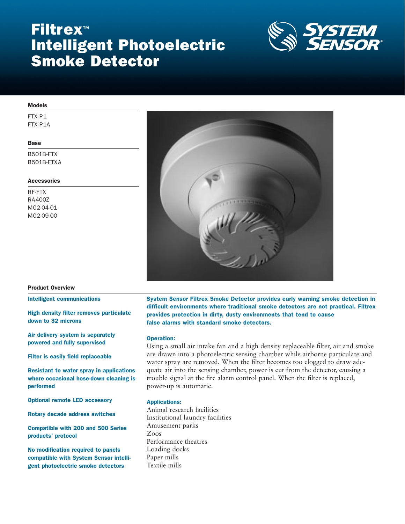# Filtrex™ Intelligent Photoelectric Smoke Detector



# Models

FTX-P1 FTX-P1A

#### Base

B501B-FTX B501B-FTXA

# **Accessories**

RF-FTX RA400Z M02-04-01 M02-09-00



#### Product Overview

Intelligent communications

High density filter removes particulate down to 32 microns

Air delivery system is separately powered and fully supervised

Filter is easily field replaceable

Resistant to water spray in applications where occasional hose-down cleaning is performed

Optional remote LED accessory

Rotary decade address switches

Compatible with 200 and 500 Series products' protocol

No modification required to panels compatible with System Sensor intelligent photoelectric smoke detectors

System Sensor Filtrex Smoke Detector provides early warning smoke detection in difficult environments where traditional smoke detectors are not practical. Filtrex provides protection in dirty, dusty environments that tend to cause false alarms with standard smoke detectors.

#### Operation:

Using a small air intake fan and a high density replaceable filter, air and smoke are drawn into a photoelectric sensing chamber while airborne particulate and water spray are removed. When the filter becomes too clogged to draw adequate air into the sensing chamber, power is cut from the detector, causing a trouble signal at the fire alarm control panel. When the filter is replaced, power-up is automatic.

# Applications:

Animal research facilities Institutional laundry facilities Amusement parks Zoos Performance theatres Loading docks Paper mills Textile mills